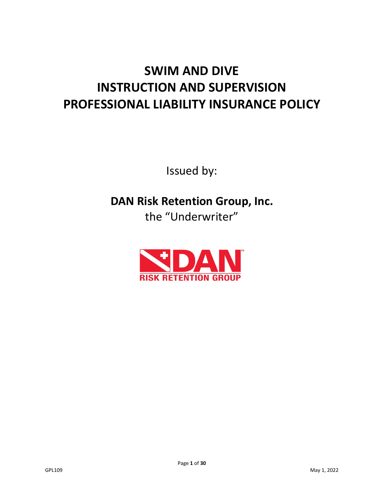# **SWIM AND DIVE INSTRUCTION AND SUPERVISION PROFESSIONAL LIABILITY INSURANCE POLICY**

Issued by:

**DAN Risk Retention Group, Inc.** the "Underwriter"

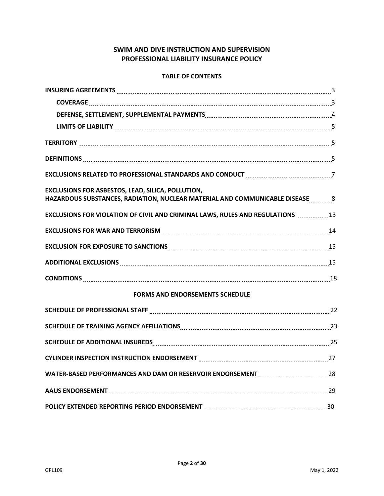# **SWIM AND DIVE INSTRUCTION AND SUPERVISION PROFESSIONAL LIABILITY INSURANCE POLICY**

# **TABLE OF CONTENTS**

| EXCLUSIONS RELATED TO PROFESSIONAL STANDARDS AND CONDUCT MARIEMAL MARKET MARKET TO PROFESSIONAL STANDARDS AND CONDUCT                     |  |
|-------------------------------------------------------------------------------------------------------------------------------------------|--|
| EXCLUSIONS FOR ASBESTOS, LEAD, SILICA, POLLUTION,<br>HAZARDOUS SUBSTANCES, RADIATION, NUCLEAR MATERIAL AND COMMUNICABLE DISEASE ________8 |  |
| <b>EXCLUSIONS FOR VIOLATION OF CIVIL AND CRIMINAL LAWS, RULES AND REGULATIONS</b> 13                                                      |  |
| EXCLUSIONS FOR WAR AND TERRORISM <b>[19] TERICIS AND TERRORISM</b> 24                                                                     |  |
|                                                                                                                                           |  |
|                                                                                                                                           |  |
|                                                                                                                                           |  |
| <b>FORMS AND ENDORSEMENTS SCHEDULE</b>                                                                                                    |  |
|                                                                                                                                           |  |
| SCHEDULE OF TRAINING AGENCY AFFILIATIONS MARKET AND ACCORDINATION CONTRACT 23                                                             |  |
| SCHEDULE OF ADDITIONAL INSUREDS 25 25                                                                                                     |  |
| CYLINDER INSPECTION INSTRUCTION ENDORSEMENT MARKET MANAGEMENT METAL MARKET AND MALL 27                                                    |  |
| WATER-BASED PERFORMANCES AND DAM OR RESERVOIR ENDORSEMENT MARKET MANAGEMENT METALL 28                                                     |  |
| AAUS ENDORSEMENT [1111] [29] AAUS ENDORSEMENT [111] [29] AAUS ENDORSEMENT [111] [29] AAUS ENDORSEMENT [111] [29                           |  |
|                                                                                                                                           |  |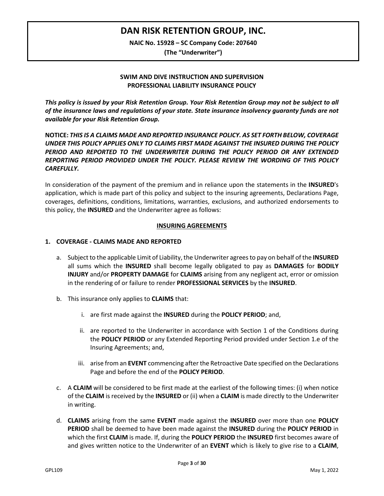# **DAN RISK RETENTION GROUP, INC.**

**NAIC No. 15928 – SC Company Code: 207640**

**(The "Underwriter")**

# **SWIM AND DIVE INSTRUCTION AND SUPERVISION PROFESSIONAL LIABILITY INSURANCE POLICY**

*This policy is issued by your Risk Retention Group. Your Risk Retention Group may not be subject to all of the insurance laws and regulations of your state. State insurance insolvency guaranty funds are not available for your Risk Retention Group.*

**NOTICE:** *THIS IS A CLAIMS MADE AND REPORTED INSURANCE POLICY. AS SET FORTH BELOW, COVERAGE UNDER THIS POLICY APPLIES ONLY TO CLAIMS FIRST MADE AGAINST THE INSURED DURING THE POLICY PERIOD AND REPORTED TO THE UNDERWRITER DURING THE POLICY PERIOD OR ANY EXTENDED REPORTING PERIOD PROVIDED UNDER THE POLICY. PLEASE REVIEW THE WORDING OF THIS POLICY CAREFULLY.*

In consideration of the payment of the premium and in reliance upon the statements in the **INSURED**'s application, which is made part of this policy and subject to the insuring agreements, Declarations Page, coverages, definitions, conditions, limitations, warranties, exclusions, and authorized endorsements to this policy, the **INSURED** and the Underwriter agree as follows:

#### **INSURING AGREEMENTS**

# **1. COVERAGE - CLAIMS MADE AND REPORTED**

- a. Subject to the applicable Limit of Liability, the Underwriter agreesto pay on behalf of the **INSURED** all sums which the **INSURED** shall become legally obligated to pay as **DAMAGES** for **BODILY INJURY** and/or **PROPERTY DAMAGE** for **CLAIMS** arising from any negligent act, error or omission in the rendering of or failure to render **PROFESSIONAL SERVICES** by the **INSURED**.
- b. This insurance only applies to **CLAIMS** that:
	- i. are first made against the **INSURED** during the **POLICY PERIOD**; and,
	- ii. are reported to the Underwriter in accordance with Section 1 of the Conditions during the **POLICY PERIOD** or any Extended Reporting Period provided under Section 1.e of the Insuring Agreements; and,
	- iii. arise from an **EVENT** commencing after the Retroactive Date specified on the Declarations Page and before the end of the **POLICY PERIOD**.
- c. A **CLAIM** will be considered to be first made at the earliest of the following times: (i) when notice of the **CLAIM** is received by the **INSURED** or (ii) when a **CLAIM** is made directly to the Underwriter in writing.
- d. **CLAIMS** arising from the same **EVENT** made against the **INSURED** over more than one **POLICY PERIOD** shall be deemed to have been made against the **INSURED** during the **POLICY PERIOD** in which the first **CLAIM** is made. If, during the **POLICY PERIOD** the **INSURED** first becomes aware of and gives written notice to the Underwriter of an **EVENT** which is likely to give rise to a **CLAIM**,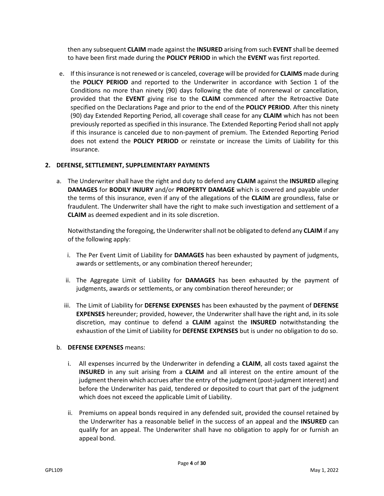then any subsequent **CLAIM** made against the **INSURED** arising from such **EVENT** shall be deemed to have been first made during the **POLICY PERIOD** in which the **EVENT** was first reported.

e. If this insurance is not renewed or is canceled, coverage will be provided for **CLAIMS** made during the **POLICY PERIOD** and reported to the Underwriter in accordance with Section 1 of the Conditions no more than ninety (90) days following the date of nonrenewal or cancellation, provided that the **EVENT** giving rise to the **CLAIM** commenced after the Retroactive Date specified on the Declarations Page and prior to the end of the **POLICY PERIOD**. After this ninety (90) day Extended Reporting Period, all coverage shall cease for any **CLAIM** which has not been previously reported as specified in this insurance. The Extended Reporting Period shall not apply if this insurance is canceled due to non-payment of premium. The Extended Reporting Period does not extend the **POLICY PERIOD** or reinstate or increase the Limits of Liability for this insurance.

# **2. DEFENSE, SETTLEMENT, SUPPLEMENTARY PAYMENTS**

a. The Underwriter shall have the right and duty to defend any **CLAIM** against the **INSURED** alleging **DAMAGES** for **BODILY INJURY** and/or **PROPERTY DAMAGE** which is covered and payable under the terms of this insurance, even if any of the allegations of the **CLAIM** are groundless, false or fraudulent. The Underwriter shall have the right to make such investigation and settlement of a **CLAIM** as deemed expedient and in its sole discretion.

Notwithstanding the foregoing, the Underwritershall not be obligated to defend any **CLAIM** if any of the following apply:

- i. The Per Event Limit of Liability for **DAMAGES** has been exhausted by payment of judgments, awards or settlements, or any combination thereof hereunder;
- ii. The Aggregate Limit of Liability for **DAMAGES** has been exhausted by the payment of judgments, awards or settlements, or any combination thereof hereunder; or
- iii. The Limit of Liability for **DEFENSE EXPENSES** has been exhausted by the payment of **DEFENSE EXPENSES** hereunder; provided, however, the Underwriter shall have the right and, in its sole discretion, may continue to defend a **CLAIM** against the **INSURED** notwithstanding the exhaustion of the Limit of Liability for **DEFENSE EXPENSES** but is under no obligation to do so.

#### b. **DEFENSE EXPENSES** means:

- i. All expenses incurred by the Underwriter in defending a **CLAIM**, all costs taxed against the **INSURED** in any suit arising from a **CLAIM** and all interest on the entire amount of the judgment therein which accrues after the entry of the judgment (post-judgment interest) and before the Underwriter has paid, tendered or deposited to court that part of the judgment which does not exceed the applicable Limit of Liability.
- ii. Premiums on appeal bonds required in any defended suit, provided the counsel retained by the Underwriter has a reasonable belief in the success of an appeal and the **INSURED** can qualify for an appeal. The Underwriter shall have no obligation to apply for or furnish an appeal bond.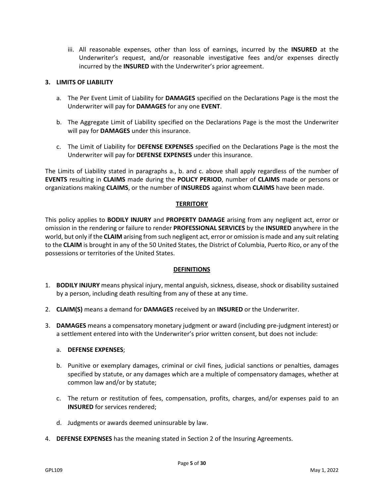iii. All reasonable expenses, other than loss of earnings, incurred by the **INSURED** at the Underwriter's request, and/or reasonable investigative fees and/or expenses directly incurred by the **INSURED** with the Underwriter's prior agreement.

#### **3. LIMITS OF LIABILITY**

- a. The Per Event Limit of Liability for **DAMAGES** specified on the Declarations Page is the most the Underwriter will pay for **DAMAGES** for any one **EVENT**.
- b. The Aggregate Limit of Liability specified on the Declarations Page is the most the Underwriter will pay for **DAMAGES** under this insurance.
- c. The Limit of Liability for **DEFENSE EXPENSES** specified on the Declarations Page is the most the Underwriter will pay for **DEFENSE EXPENSES** under this insurance.

The Limits of Liability stated in paragraphs a., b. and c. above shall apply regardless of the number of **EVENTS** resulting in **CLAIMS** made during the **POLICY PERIOD**, number of **CLAIMS** made or persons or organizations making **CLAIMS**, or the number of **INSUREDS** against whom **CLAIMS** have been made.

#### **TERRITORY**

This policy applies to **BODILY INJURY** and **PROPERTY DAMAGE** arising from any negligent act, error or omission in the rendering or failure to render **PROFESSIONAL SERVICES** by the **INSURED** anywhere in the world, but only if the **CLAIM** arising from such negligent act, error or omission is made and any suit relating to the **CLAIM** is brought in any of the 50 United States, the District of Columbia, Puerto Rico, or any of the possessions or territories of the United States.

#### **DEFINITIONS**

- 1. **BODILY INJURY** means physical injury, mental anguish, sickness, disease, shock or disability sustained by a person, including death resulting from any of these at any time.
- 2. **CLAIM(S)** means a demand for **DAMAGES** received by an **INSURED** or the Underwriter.
- 3. **DAMAGES** means a compensatory monetary judgment or award (including pre-judgment interest) or a settlement entered into with the Underwriter's prior written consent, but does not include:

#### a. **DEFENSE EXPENSES**;

- b. Punitive or exemplary damages, criminal or civil fines, judicial sanctions or penalties, damages specified by statute, or any damages which are a multiple of compensatory damages, whether at common law and/or by statute;
- c. The return or restitution of fees, compensation, profits, charges, and/or expenses paid to an **INSURED** for services rendered;
- d. Judgments or awards deemed uninsurable by law.
- 4. **DEFENSE EXPENSES** has the meaning stated in Section 2 of the Insuring Agreements.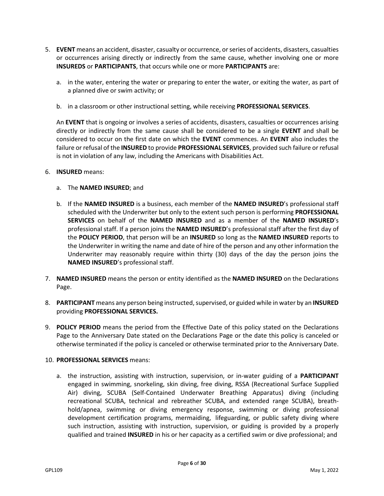- 5. **EVENT** means an accident, disaster, casualty or occurrence, or series of accidents, disasters, casualties or occurrences arising directly or indirectly from the same cause, whether involving one or more **INSUREDS** or **PARTICIPANTS**, that occurs while one or more **PARTICIPANTS** are:
	- a. in the water, entering the water or preparing to enter the water, or exiting the water, as part of a planned dive or swim activity; or
	- b. in a classroom or other instructional setting, while receiving **PROFESSIONAL SERVICES**.

An **EVENT** that is ongoing or involves a series of accidents, disasters, casualties or occurrences arising directly or indirectly from the same cause shall be considered to be a single **EVENT** and shall be considered to occur on the first date on which the **EVENT** commences. An **EVENT** also includes the failure or refusal of the **INSURED** to provide **PROFESSIONAL SERVICES**, provided such failure or refusal is not in violation of any law, including the Americans with Disabilities Act.

#### 6. **INSURED** means:

- a. The **NAMED INSURED**; and
- b. If the **NAMED INSURED** is a business, each member of the **NAMED INSURED**'s professional staff scheduled with the Underwriter but only to the extent such person is performing **PROFESSIONAL SERVICES** on behalf of the **NAMED INSURED** and as a member of the **NAMED INSURED**'s professional staff. If a person joins the **NAMED INSURED**'s professional staff after the first day of the **POLICY PERIOD**, that person will be an **INSURED** so long as the **NAMED INSURED** reports to the Underwriter in writing the name and date of hire of the person and any other information the Underwriter may reasonably require within thirty (30) days of the day the person joins the **NAMED INSURED**'s professional staff.
- 7. **NAMED INSURED** means the person or entity identified as the **NAMED INSURED** on the Declarations Page.
- 8. **PARTICIPANT** means any person being instructed, supervised, or guided while in water by an INSURED providing **PROFESSIONAL SERVICES.**
- 9. **POLICY PERIOD** means the period from the Effective Date of this policy stated on the Declarations Page to the Anniversary Date stated on the Declarations Page or the date this policy is canceled or otherwise terminated if the policy is canceled or otherwise terminated prior to the Anniversary Date.

#### 10. **PROFESSIONAL SERVICES** means:

a. the instruction, assisting with instruction, supervision, or in-water guiding of a **PARTICIPANT**  engaged in swimming, snorkeling, skin diving, free diving, RSSA (Recreational Surface Supplied Air) diving, SCUBA (Self-Contained Underwater Breathing Apparatus) diving (including recreational SCUBA, technical and rebreather SCUBA, and extended range SCUBA), breathhold/apnea, swimming or diving emergency response, swimming or diving professional development certification programs, mermaiding, lifeguarding, or public safety diving where such instruction, assisting with instruction, supervision, or guiding is provided by a properly qualified and trained **INSURED** in his or her capacity as a certified swim or dive professional; and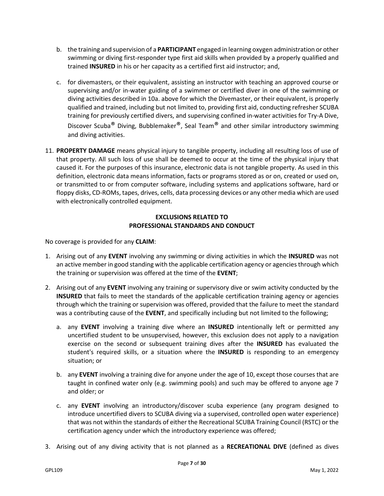- b. the training and supervision of a **PARTICIPANT** engaged in learning oxygen administration or other swimming or diving first-responder type first aid skills when provided by a properly qualified and trained **INSURED** in his or her capacity as a certified first aid instructor; and,
- c. for divemasters, or their equivalent, assisting an instructor with teaching an approved course or supervising and/or in-water guiding of a swimmer or certified diver in one of the swimming or diving activities described in 10a. above for which the Divemaster, or their equivalent, is properly qualified and trained, including but not limited to, providing first aid, conducting refresher SCUBA training for previously certified divers, and supervising confined in-water activities for Try-A Dive, Discover Scuba<sup>®</sup> Diving, Bubblemaker<sup>®</sup>, Seal Team<sup>®</sup> and other similar introductory swimming and diving activities.
- 11. **PROPERTY DAMAGE** means physical injury to tangible property, including all resulting loss of use of that property. All such loss of use shall be deemed to occur at the time of the physical injury that caused it. For the purposes of this insurance, electronic data is not tangible property. As used in this definition, electronic data means information, facts or programs stored as or on, created or used on, or transmitted to or from computer software, including systems and applications software, hard or floppy disks, CD-ROMs, tapes, drives, cells, data processing devices or any other media which are used with electronically controlled equipment.

# **EXCLUSIONS RELATED TO PROFESSIONAL STANDARDS AND CONDUCT**

No coverage is provided for any **CLAIM**:

- 1. Arising out of any **EVENT** involving any swimming or diving activities in which the **INSURED** was not an active member in good standing with the applicable certification agency or agencies through which the training or supervision was offered at the time of the **EVENT**;
- 2. Arising out of any **EVENT** involving any training or supervisory dive or swim activity conducted by the **INSURED** that fails to meet the standards of the applicable certification training agency or agencies through which the training or supervision was offered, provided that the failure to meet the standard was a contributing cause of the **EVENT**, and specifically including but not limited to the following;
	- a. any **EVENT** involving a training dive where an **INSURED** intentionally left or permitted any uncertified student to be unsupervised, however, this exclusion does not apply to a navigation exercise on the second or subsequent training dives after the **INSURED** has evaluated the student's required skills, or a situation where the **INSURED** is responding to an emergency situation; or
	- b. any **EVENT** involving a training dive for anyone under the age of 10, except those courses that are taught in confined water only (e.g. swimming pools) and such may be offered to anyone age 7 and older; or
	- c. any **EVENT** involving an introductory/discover scuba experience (any program designed to introduce uncertified divers to SCUBA diving via a supervised, controlled open water experience) that was not within the standards of either the Recreational SCUBA Training Council (RSTC) or the certification agency under which the introductory experience was offered;
- 3. Arising out of any diving activity that is not planned as a **RECREATIONAL DIVE** (defined as dives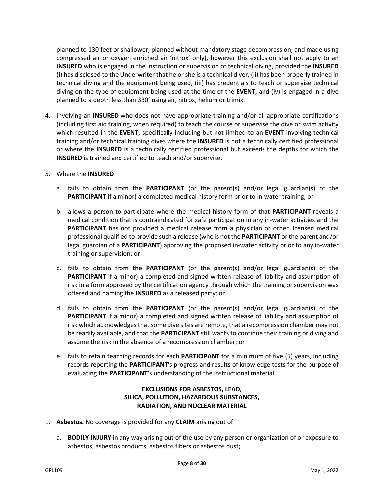planned to 130 feet or shallower, planned without mandatory stage decompression, and made using compressed air or oxygen enriched air 'nitrox' only), however this exclusion shall not apply to an **INSURED** who is engaged in the instruction or supervision of technical diving, provided the **INSURED** (i) has disclosed to the Underwriter that he or she is a technical diver, (ii) has been properly trained in technical diving and the equipment being used, (iii) has credentials to teach or supervise technical diving on the type of equipment being used at the time of the **EVENT**, and (iv) is engaged in a dive planned to a depth less than 330' using air, nitrox, helium or trimix.

- 4. Involving an **INSURED** who does not have appropriate training and/or all appropriate certifications (including first aid training, when required) to teach the course or supervise the dive or swim activity which resulted in the **EVENT**, specifically including but not limited to an **EVENT** involving technical training and/or technical training dives where the **INSURED** is not a technically certified professional or where the **INSURED** is a technically certified professional but exceeds the depths for which the **INSURED** is trained and certified to teach and/or supervise.
- 5. Where the **INSURED**
	- a. fails to obtain from the **PARTICIPANT** (or the parent(s) and/or legal guardian(s) of the **PARTICIPANT** if a minor) a completed medical history form prior to in-water training; or
	- b. allows a person to participate where the medical history form of that **PARTICIPANT** reveals a medical condition that is contraindicated for safe participation in any in-water activities and the **PARTICIPANT** has not provided a medical release from a physician or other licensed medical professional qualified to provide such a release (who is not the **PARTICIPANT** or the parent and/or legal guardian of a **PARTICIPANT**) approving the proposed in-water activity prior to any in-water training or supervision; or
	- c. fails to obtain from the **PARTICIPANT** (or the parent(s) and/or legal guardian(s) of the **PARTICIPANT** if a minor) a completed and signed written release of liability and assumption of risk in a form approved by the certification agency through which the training or supervision was offered and naming the **INSURED** as a released party; or
	- d. fails to obtain from the **PARTICIPANT** (or the parent(s) and/or legal guardian(s) of the **PARTICIPANT** if a minor) a completed and signed written release of liability and assumption of risk which acknowledges that some dive sites are remote, that a recompression chamber may not be readily available, and that the **PARTICIPANT** still wants to continue their training or diving and assume the risk in the absence of a recompression chamber; or
	- e. fails to retain teaching records for each **PARTICIPANT** for a minimum of five (5) years, including records reporting the **PARTICIPANT**'s progress and results of knowledge tests for the purpose of evaluating the **PARTICIPANT**'s understanding of the instructional material.

# **EXCLUSIONS FOR ASBESTOS, LEAD, SILICA, POLLUTION, HAZARDOUS SUBSTANCES, RADIATION, AND NUCLEAR MATERIAL**

- 1. **Asbestos.** No coverage is provided for any **CLAIM** arising out of:
	- a. **BODILY INJURY** in any way arising out of the use by any person or organization of or exposure to asbestos, asbestos products, asbestos fibers or asbestos dust;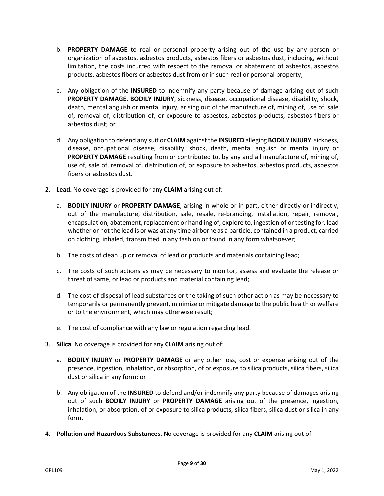- b. **PROPERTY DAMAGE** to real or personal property arising out of the use by any person or organization of asbestos, asbestos products, asbestos fibers or asbestos dust, including, without limitation, the costs incurred with respect to the removal or abatement of asbestos, asbestos products, asbestos fibers or asbestos dust from or in such real or personal property;
- c. Any obligation of the **INSURED** to indemnify any party because of damage arising out of such **PROPERTY DAMAGE**, **BODILY INJURY**, sickness, disease, occupational disease, disability, shock, death, mental anguish or mental injury, arising out of the manufacture of, mining of, use of, sale of, removal of, distribution of, or exposure to asbestos, asbestos products, asbestos fibers or asbestos dust; or
- d. Any obligation to defend any suit or **CLAIM** against the **INSURED** alleging **BODILY INJURY**, sickness, disease, occupational disease, disability, shock, death, mental anguish or mental injury or **PROPERTY DAMAGE** resulting from or contributed to, by any and all manufacture of, mining of, use of, sale of, removal of, distribution of, or exposure to asbestos, asbestos products, asbestos fibers or asbestos dust.
- 2. **Lead.** No coverage is provided for any **CLAIM** arising out of:
	- a. **BODILY INJURY** or **PROPERTY DAMAGE**, arising in whole or in part, either directly or indirectly, out of the manufacture, distribution, sale, resale, re-branding, installation, repair, removal, encapsulation, abatement, replacement or handling of, explore to, ingestion of or testing for, lead whether or not the lead is or was at any time airborne as a particle, contained in a product, carried on clothing, inhaled, transmitted in any fashion or found in any form whatsoever;
	- b. The costs of clean up or removal of lead or products and materials containing lead;
	- c. The costs of such actions as may be necessary to monitor, assess and evaluate the release or threat of same, or lead or products and material containing lead;
	- d. The cost of disposal of lead substances or the taking of such other action as may be necessary to temporarily or permanently prevent, minimize or mitigate damage to the public health or welfare or to the environment, which may otherwise result;
	- e. The cost of compliance with any law or regulation regarding lead.
- 3. **Silica.** No coverage is provided for any **CLAIM** arising out of:
	- a. **BODILY INJURY** or **PROPERTY DAMAGE** or any other loss, cost or expense arising out of the presence, ingestion, inhalation, or absorption, of or exposure to silica products, silica fibers, silica dust or silica in any form; or
	- b. Any obligation of the **INSURED** to defend and/or indemnify any party because of damages arising out of such **BODILY INJURY** or **PROPERTY DAMAGE** arising out of the presence, ingestion, inhalation, or absorption, of or exposure to silica products, silica fibers, silica dust or silica in any form.
- 4. **Pollution and Hazardous Substances.** No coverage is provided for any **CLAIM** arising out of: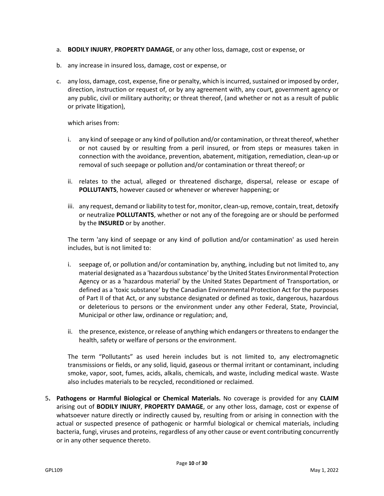- a. **BODILY INJURY**, **PROPERTY DAMAGE**, or any other loss, damage, cost or expense, or
- b. any increase in insured loss, damage, cost or expense, or
- c. any loss, damage, cost, expense, fine or penalty, which is incurred, sustained or imposed by order, direction, instruction or request of, or by any agreement with, any court, government agency or any public, civil or military authority; or threat thereof, (and whether or not as a result of public or private litigation),

which arises from:

- i. any kind of seepage or any kind of pollution and/or contamination, or threat thereof, whether or not caused by or resulting from a peril insured, or from steps or measures taken in connection with the avoidance, prevention, abatement, mitigation, remediation, clean-up or removal of such seepage or pollution and/or contamination or threat thereof; or
- ii. relates to the actual, alleged or threatened discharge, dispersal, release or escape of **POLLUTANTS**, however caused or whenever or wherever happening; or
- iii. any request, demand or liability to test for, monitor, clean-up, remove, contain, treat, detoxify or neutralize **POLLUTANTS**, whether or not any of the foregoing are or should be performed by the **INSURED** or by another.

The term 'any kind of seepage or any kind of pollution and/or contamination' as used herein includes, but is not limited to:

- i. seepage of, or pollution and/or contamination by, anything, including but not limited to, any material designated as a 'hazardous substance' by the United States Environmental Protection Agency or as a 'hazardous material' by the United States Department of Transportation, or defined as a 'toxic substance' by the Canadian Environmental Protection Act for the purposes of Part II of that Act, or any substance designated or defined as toxic, dangerous, hazardous or deleterious to persons or the environment under any other Federal, State, Provincial, Municipal or other law, ordinance or regulation; and,
- ii. the presence, existence, or release of anything which endangers or threatens to endanger the health, safety or welfare of persons or the environment.

The term "Pollutants" as used herein includes but is not limited to, any electromagnetic transmissions or fields, or any solid, liquid, gaseous or thermal irritant or contaminant, including smoke, vapor, soot, fumes, acids, alkalis, chemicals, and waste, including medical waste. Waste also includes materials to be recycled, reconditioned or reclaimed.

5**. Pathogens or Harmful Biological or Chemical Materials.** No coverage is provided for any **CLAIM**  arising out of **BODILY INJURY**, **PROPERTY DAMAGE**, or any other loss, damage, cost or expense of whatsoever nature directly or indirectly caused by, resulting from or arising in connection with the actual or suspected presence of pathogenic or harmful biological or chemical materials, including bacteria, fungi, viruses and proteins, regardless of any other cause or event contributing concurrently or in any other sequence thereto.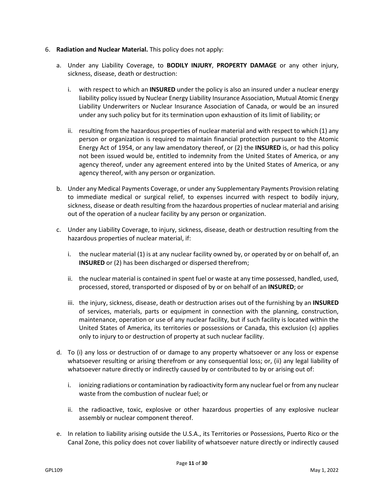- 6. **Radiation and Nuclear Material.** This policy does not apply:
	- a. Under any Liability Coverage, to **BODILY INJURY**, **PROPERTY DAMAGE** or any other injury, sickness, disease, death or destruction:
		- i. with respect to which an **INSURED** under the policy is also an insured under a nuclear energy liability policy issued by Nuclear Energy Liability Insurance Association, Mutual Atomic Energy Liability Underwriters or Nuclear Insurance Association of Canada, or would be an insured under any such policy but for its termination upon exhaustion of its limit of liability; or
		- ii. resulting from the hazardous properties of nuclear material and with respect to which (1) any person or organization is required to maintain financial protection pursuant to the Atomic Energy Act of 1954, or any law amendatory thereof, or (2) the **INSURED** is, or had this policy not been issued would be, entitled to indemnity from the United States of America, or any agency thereof, under any agreement entered into by the United States of America, or any agency thereof, with any person or organization.
	- b. Under any Medical Payments Coverage, or under any Supplementary Payments Provision relating to immediate medical or surgical relief, to expenses incurred with respect to bodily injury, sickness, disease or death resulting from the hazardous properties of nuclear material and arising out of the operation of a nuclear facility by any person or organization.
	- c. Under any Liability Coverage, to injury, sickness, disease, death or destruction resulting from the hazardous properties of nuclear material, if:
		- i. the nuclear material (1) is at any nuclear facility owned by, or operated by or on behalf of, an **INSURED** or (2) has been discharged or dispersed therefrom;
		- ii. the nuclear material is contained in spent fuel or waste at any time possessed, handled, used, processed, stored, transported or disposed of by or on behalf of an **INSURED**; or
		- iii. the injury, sickness, disease, death or destruction arises out of the furnishing by an **INSURED** of services, materials, parts or equipment in connection with the planning, construction, maintenance, operation or use of any nuclear facility, but if such facility is located within the United States of America, its territories or possessions or Canada, this exclusion (c) applies only to injury to or destruction of property at such nuclear facility.
	- d. To (i) any loss or destruction of or damage to any property whatsoever or any loss or expense whatsoever resulting or arising therefrom or any consequential loss; or, (ii) any legal liability of whatsoever nature directly or indirectly caused by or contributed to by or arising out of:
		- i. ionizing radiations or contamination by radioactivity form any nuclear fuel or from any nuclear waste from the combustion of nuclear fuel; or
		- ii. the radioactive, toxic, explosive or other hazardous properties of any explosive nuclear assembly or nuclear component thereof.
	- e. In relation to liability arising outside the U.S.A., its Territories or Possessions, Puerto Rico or the Canal Zone, this policy does not cover liability of whatsoever nature directly or indirectly caused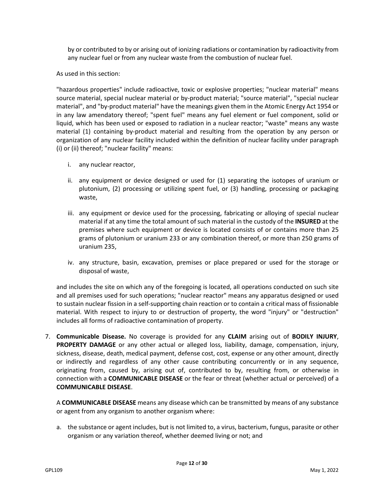by or contributed to by or arising out of ionizing radiations or contamination by radioactivity from any nuclear fuel or from any nuclear waste from the combustion of nuclear fuel.

As used in this section:

"hazardous properties" include radioactive, toxic or explosive properties; "nuclear material" means source material, special nuclear material or by-product material; "source material", "special nuclear material", and "by-product material" have the meanings given them in the Atomic Energy Act 1954 or in any law amendatory thereof; "spent fuel" means any fuel element or fuel component, solid or liquid, which has been used or exposed to radiation in a nuclear reactor; "waste" means any waste material (1) containing by-product material and resulting from the operation by any person or organization of any nuclear facility included within the definition of nuclear facility under paragraph (i) or (ii) thereof; "nuclear facility" means:

- i. any nuclear reactor,
- ii. any equipment or device designed or used for (1) separating the isotopes of uranium or plutonium, (2) processing or utilizing spent fuel, or (3) handling, processing or packaging waste,
- iii. any equipment or device used for the processing, fabricating or alloying of special nuclear material if at any time the total amount of such material in the custody of the **INSURED** at the premises where such equipment or device is located consists of or contains more than 25 grams of plutonium or uranium 233 or any combination thereof, or more than 250 grams of uranium 235,
- iv. any structure, basin, excavation, premises or place prepared or used for the storage or disposal of waste,

and includes the site on which any of the foregoing is located, all operations conducted on such site and all premises used for such operations; "nuclear reactor" means any apparatus designed or used to sustain nuclear fission in a self-supporting chain reaction or to contain a critical mass of fissionable material. With respect to injury to or destruction of property, the word "injury" or "destruction" includes all forms of radioactive contamination of property.

7. **Communicable Disease.** No coverage is provided for any **CLAIM** arising out of **BODILY INJURY**, **PROPERTY DAMAGE** or any other actual or alleged loss, liability, damage, compensation, injury, sickness, disease, death, medical payment, defense cost, cost, expense or any other amount, directly or indirectly and regardless of any other cause contributing concurrently or in any sequence, originating from, caused by, arising out of, contributed to by, resulting from, or otherwise in connection with a **COMMUNICABLE DISEASE** or the fear or threat (whether actual or perceived) of a **COMMUNICABLE DISEASE**.

A **COMMUNICABLE DISEASE** means any disease which can be transmitted by means of any substance or agent from any organism to another organism where:

a. the substance or agent includes, but is not limited to, a virus, bacterium, fungus, parasite or other organism or any variation thereof, whether deemed living or not; and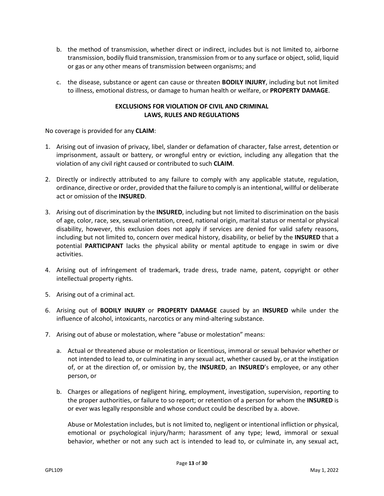- b. the method of transmission, whether direct or indirect, includes but is not limited to, airborne transmission, bodily fluid transmission, transmission from or to any surface or object, solid, liquid or gas or any other means of transmission between organisms; and
- c. the disease, substance or agent can cause or threaten **BODILY INJURY**, including but not limited to illness, emotional distress, or damage to human health or welfare, or **PROPERTY DAMAGE**.

# **EXCLUSIONS FOR VIOLATION OF CIVIL AND CRIMINAL LAWS, RULES AND REGULATIONS**

No coverage is provided for any **CLAIM**:

- 1. Arising out of invasion of privacy, libel, slander or defamation of character, false arrest, detention or imprisonment, assault or battery, or wrongful entry or eviction, including any allegation that the violation of any civil right caused or contributed to such **CLAIM**.
- 2. Directly or indirectly attributed to any failure to comply with any applicable statute, regulation, ordinance, directive or order, provided that the failure to comply is an intentional, willful or deliberate act or omission of the **INSURED**.
- 3. Arising out of discrimination by the **INSURED**, including but not limited to discrimination on the basis of age, color, race, sex, sexual orientation, creed, national origin, marital status or mental or physical disability, however, this exclusion does not apply if services are denied for valid safety reasons, including but not limited to, concern over medical history, disability, or belief by the **INSURED** that a potential **PARTICIPANT** lacks the physical ability or mental aptitude to engage in swim or dive activities.
- 4. Arising out of infringement of trademark, trade dress, trade name, patent, copyright or other intellectual property rights.
- 5. Arising out of a criminal act.
- 6. Arising out of **BODILY INJURY** or **PROPERTY DAMAGE** caused by an **INSURED** while under the influence of alcohol, intoxicants, narcotics or any mind-altering substance.
- 7. Arising out of abuse or molestation, where "abuse or molestation" means:
	- a. Actual or threatened abuse or molestation or licentious, immoral or sexual behavior whether or not intended to lead to, or culminating in any sexual act, whether caused by, or at the instigation of, or at the direction of, or omission by, the **INSURED**, an **INSURED**'s employee, or any other person, or
	- b. Charges or allegations of negligent hiring, employment, investigation, supervision, reporting to the proper authorities, or failure to so report; or retention of a person for whom the **INSURED** is or ever was legally responsible and whose conduct could be described by a. above.

Abuse or Molestation includes, but is not limited to, negligent or intentional infliction or physical, emotional or psychological injury/harm; harassment of any type; lewd, immoral or sexual behavior, whether or not any such act is intended to lead to, or culminate in, any sexual act,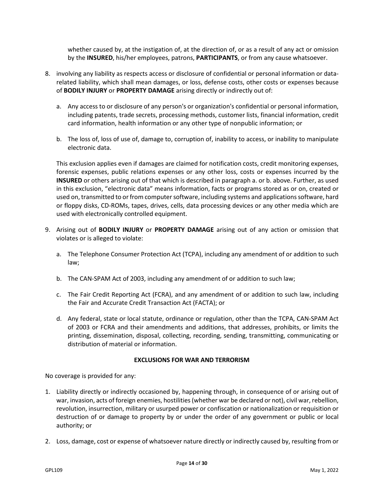whether caused by, at the instigation of, at the direction of, or as a result of any act or omission by the **INSURED**, his/her employees, patrons, **PARTICIPANTS**, or from any cause whatsoever.

- 8. involving any liability as respects access or disclosure of confidential or personal information or datarelated liability, which shall mean damages, or loss, defense costs, other costs or expenses because of **BODILY INJURY** or **PROPERTY DAMAGE** arising directly or indirectly out of:
	- a. Any access to or disclosure of any person's or organization's confidential or personal information, including patents, trade secrets, processing methods, customer lists, financial information, credit card information, health information or any other type of nonpublic information; or
	- b. The loss of, loss of use of, damage to, corruption of, inability to access, or inability to manipulate electronic data.

This exclusion applies even if damages are claimed for notification costs, credit monitoring expenses, forensic expenses, public relations expenses or any other loss, costs or expenses incurred by the **INSURED** or others arising out of that which is described in paragraph a. or b. above. Further, as used in this exclusion, "electronic data" means information, facts or programs stored as or on, created or used on, transmitted to or from computer software, including systems and applications software, hard or floppy disks, CD-ROMs, tapes, drives, cells, data processing devices or any other media which are used with electronically controlled equipment.

- 9. Arising out of **BODILY INJURY** or **PROPERTY DAMAGE** arising out of any action or omission that violates or is alleged to violate:
	- a. The Telephone Consumer Protection Act (TCPA), including any amendment of or addition to such law;
	- b. The CAN-SPAM Act of 2003, including any amendment of or addition to such law;
	- c. The Fair Credit Reporting Act (FCRA), and any amendment of or addition to such law, including the Fair and Accurate Credit Transaction Act (FACTA); or
	- d. Any federal, state or local statute, ordinance or regulation, other than the TCPA, CAN-SPAM Act of 2003 or FCRA and their amendments and additions, that addresses, prohibits, or limits the printing, dissemination, disposal, collecting, recording, sending, transmitting, communicating or distribution of material or information.

# **EXCLUSIONS FOR WAR AND TERRORISM**

No coverage is provided for any:

- 1. Liability directly or indirectly occasioned by, happening through, in consequence of or arising out of war, invasion, acts of foreign enemies, hostilities (whether war be declared or not), civil war, rebellion, revolution, insurrection, military or usurped power or confiscation or nationalization or requisition or destruction of or damage to property by or under the order of any government or public or local authority; or
- 2. Loss, damage, cost or expense of whatsoever nature directly or indirectly caused by, resulting from or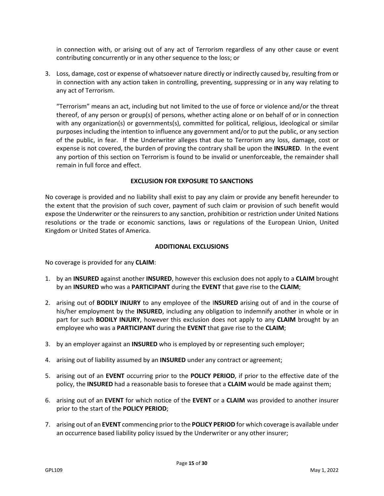in connection with, or arising out of any act of Terrorism regardless of any other cause or event contributing concurrently or in any other sequence to the loss; or

3. Loss, damage, cost or expense of whatsoever nature directly or indirectly caused by, resulting from or in connection with any action taken in controlling, preventing, suppressing or in any way relating to any act of Terrorism.

"Terrorism" means an act, including but not limited to the use of force or violence and/or the threat thereof, of any person or group(s) of persons, whether acting alone or on behalf of or in connection with any organization(s) or governments(s), committed for political, religious, ideological or similar purposes including the intention to influence any government and/or to put the public, or any section of the public, in fear. If the Underwriter alleges that due to Terrorism any loss, damage, cost or expense is not covered, the burden of proving the contrary shall be upon the **INSURED**. In the event any portion of this section on Terrorism is found to be invalid or unenforceable, the remainder shall remain in full force and effect.

# **EXCLUSION FOR EXPOSURE TO SANCTIONS**

No coverage is provided and no liability shall exist to pay any claim or provide any benefit hereunder to the extent that the provision of such cover, payment of such claim or provision of such benefit would expose the Underwriter or the reinsurers to any sanction, prohibition or restriction under United Nations resolutions or the trade or economic sanctions, laws or regulations of the European Union, United Kingdom or United States of America.

#### **ADDITIONAL EXCLUSIONS**

No coverage is provided for any **CLAIM**:

- 1. by an **INSURED** against another **INSURED**, however this exclusion does not apply to a **CLAIM** brought by an **INSURED** who was a **PARTICIPANT** during the **EVENT** that gave rise to the **CLAIM**;
- 2. arising out of **BODILY INJURY** to any employee of the I**NSURED** arising out of and in the course of his/her employment by the **INSURED**, including any obligation to indemnify another in whole or in part for such **BODILY INJURY**, however this exclusion does not apply to any **CLAIM** brought by an employee who was a **PARTICIPANT** during the **EVENT** that gave rise to the **CLAIM**;
- 3. by an employer against an **INSURED** who is employed by or representing such employer;
- 4. arising out of liability assumed by an **INSURED** under any contract or agreement;
- 5. arising out of an **EVENT** occurring prior to the **POLICY PERIOD**, if prior to the effective date of the policy, the **INSURED** had a reasonable basis to foresee that a **CLAIM** would be made against them;
- 6. arising out of an **EVENT** for which notice of the **EVENT** or a **CLAIM** was provided to another insurer prior to the start of the **POLICY PERIOD**;
- 7. arising out of an **EVENT** commencing prior to the **POLICY PERIOD** for which coverage is available under an occurrence based liability policy issued by the Underwriter or any other insurer;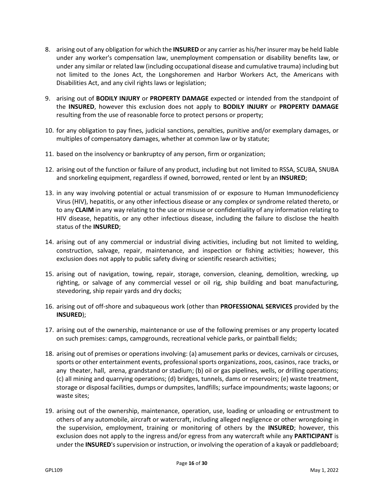- 8. arising out of any obligation for which the **INSURED** or any carrier as his/her insurer may be held liable under any worker's compensation law, unemployment compensation or disability benefits law, or under any similar or related law (including occupational disease and cumulative trauma) including but not limited to the Jones Act, the Longshoremen and Harbor Workers Act, the Americans with Disabilities Act, and any civil rights laws or legislation;
- 9. arising out of **BODILY INJURY** or **PROPERTY DAMAGE** expected or intended from the standpoint of the **INSURED**, however this exclusion does not apply to **BODILY INJURY** or **PROPERTY DAMAGE**  resulting from the use of reasonable force to protect persons or property;
- 10. for any obligation to pay fines, judicial sanctions, penalties, punitive and/or exemplary damages, or multiples of compensatory damages, whether at common law or by statute;
- 11. based on the insolvency or bankruptcy of any person, firm or organization;
- 12. arising out of the function or failure of any product, including but not limited to RSSA, SCUBA, SNUBA and snorkeling equipment, regardless if owned, borrowed, rented or lent by an **INSURED**;
- 13. in any way involving potential or actual transmission of or exposure to Human Immunodeficiency Virus (HIV), hepatitis, or any other infectious disease or any complex or syndrome related thereto, or to any **CLAIM** in any way relating to the use or misuse or confidentiality of any information relating to HIV disease, hepatitis, or any other infectious disease, including the failure to disclose the health status of the **INSURED**;
- 14. arising out of any commercial or industrial diving activities, including but not limited to welding, construction, salvage, repair, maintenance, and inspection or fishing activities; however, this exclusion does not apply to public safety diving or scientific research activities;
- 15. arising out of navigation, towing, repair, storage, conversion, cleaning, demolition, wrecking, up righting, or salvage of any commercial vessel or oil rig, ship building and boat manufacturing, stevedoring, ship repair yards and dry docks;
- 16. arising out of off-shore and subaqueous work (other than **PROFESSIONAL SERVICES** provided by the **INSURED**);
- 17. arising out of the ownership, maintenance or use of the following premises or any property located on such premises: camps, campgrounds, recreational vehicle parks, or paintball fields;
- 18. arising out of premises or operations involving: (a) amusement parks or devices, carnivals or circuses, sports or other entertainment events, professional sports organizations, zoos, casinos, race tracks, or any theater, hall, arena, grandstand or stadium; (b) oil or gas pipelines, wells, or drilling operations; (c) all mining and quarrying operations; (d) bridges, tunnels, dams or reservoirs; (e) waste treatment, storage or disposal facilities, dumps or dumpsites, landfills; surface impoundments; waste lagoons; or waste sites;
- 19. arising out of the ownership, maintenance, operation, use, loading or unloading or entrustment to others of any automobile, aircraft or watercraft, including alleged negligence or other wrongdoing in the supervision, employment, training or monitoring of others by the **INSURED**; however, this exclusion does not apply to the ingress and/or egress from any watercraft while any **PARTICIPANT** is under the **INSURED**'s supervision or instruction, or involving the operation of a kayak or paddleboard;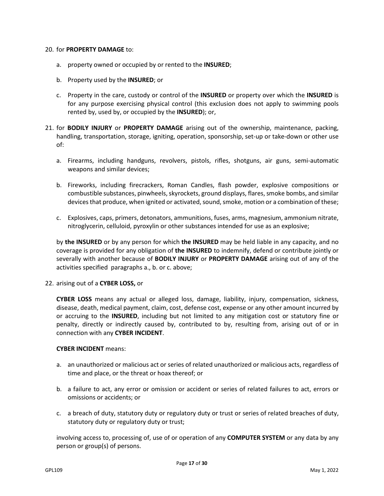#### 20. for **PROPERTY DAMAGE** to:

- a. property owned or occupied by or rented to the **INSURED**;
- b. Property used by the **INSURED**; or
- c. Property in the care, custody or control of the **INSURED** or property over which the **INSURED** is for any purpose exercising physical control (this exclusion does not apply to swimming pools rented by, used by, or occupied by the **INSURED**); or,
- 21. for **BODILY INJURY** or **PROPERTY DAMAGE** arising out of the ownership, maintenance, packing, handling, transportation, storage, igniting, operation, sponsorship, set-up or take-down or other use of:
	- a. Firearms, including handguns, revolvers, pistols, rifles, shotguns, air guns, semi-automatic weapons and similar devices;
	- b. Fireworks, including firecrackers, Roman Candles, flash powder, explosive compositions or combustible substances, pinwheels, skyrockets, ground displays, flares, smoke bombs, and similar devices that produce, when ignited or activated, sound, smoke, motion or a combination of these;
	- c. Explosives, caps, primers, detonators, ammunitions, fuses, arms, magnesium, ammonium nitrate, nitroglycerin, celluloid, pyroxylin or other substances intended for use as an explosive;

by **the INSURED** or by any person for which **the INSURED** may be held liable in any capacity, and no coverage is provided for any obligation of **the INSURED** to indemnify, defend or contribute jointly or severally with another because of **BODILY INJURY** or **PROPERTY DAMAGE** arising out of any of the activities specified paragraphs a., b. or c. above;

#### 22. arising out of a **CYBER LOSS,** or

**CYBER LOSS** means any actual or alleged loss, damage, liability, injury, compensation, sickness, disease, death, medical payment, claim, cost, defense cost, expense or any other amount incurred by or accruing to the **INSURED**, including but not limited to any mitigation cost or statutory fine or penalty, directly or indirectly caused by, contributed to by, resulting from, arising out of or in connection with any **CYBER INCIDENT**.

#### **CYBER INCIDENT** means:

- a. an unauthorized or malicious act or series of related unauthorized or malicious acts, regardless of time and place, or the threat or hoax thereof; or
- b. a failure to act, any error or omission or accident or series of related failures to act, errors or omissions or accidents; or
- c. a breach of duty, statutory duty or regulatory duty or trust or series of related breaches of duty, statutory duty or regulatory duty or trust;

involving access to, processing of, use of or operation of any **COMPUTER SYSTEM** or any data by any person or group(s) of persons.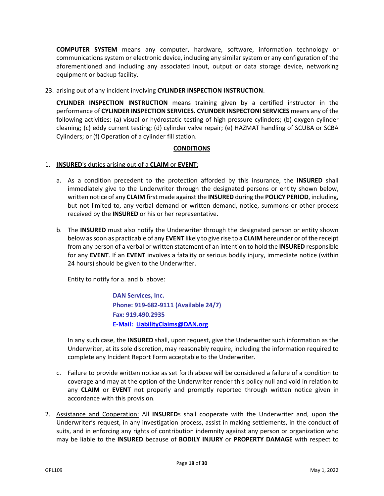**COMPUTER SYSTEM** means any computer, hardware, software, information technology or communications system or electronic device, including any similar system or any configuration of the aforementioned and including any associated input, output or data storage device, networking equipment or backup facility.

23. arising out of any incident involving **CYLINDER INSPECTION INSTRUCTION**.

**CYLINDER INSPECTION INSTRUCTION** means training given by a certified instructor in the performance of **CYLINDER INSPECTION SERVICES. CYLINDER INSPECTONI SERVICES** means any of the following activities: (a) visual or hydrostatic testing of high pressure cylinders; (b) oxygen cylinder cleaning; (c) eddy current testing; (d) cylinder valve repair; (e) HAZMAT handling of SCUBA or SCBA Cylinders; or (f) Operation of a cylinder fill station.

# **CONDITIONS**

# 1. **INSURED**'s duties arising out of a **CLAIM** or **EVENT**:

- a. As a condition precedent to the protection afforded by this insurance, the **INSURED** shall immediately give to the Underwriter through the designated persons or entity shown below, written notice of any **CLAIM** first made against the **INSURED** during the **POLICY PERIOD**, including, but not limited to, any verbal demand or written demand, notice, summons or other process received by the **INSURED** or his or her representative.
- b. The **INSURED** must also notify the Underwriter through the designated person or entity shown below as soon as practicable of any **EVENT** likely to give rise to a **CLAIM** hereunder or of the receipt from any person of a verbal or written statement of an intention to hold the **INSURED** responsible for any **EVENT**. If an **EVENT** involves a fatality or serious bodily injury, immediate notice (within 24 hours) should be given to the Underwriter.

Entity to notify for a. and b. above:

**DAN Services, Inc. Phone: 919-682-9111 (Available 24/7) Fax: 919.490.2935 E-Mail: [LiabilityClaims@DAN.org](mailto:LiabilityClaims@DAN.org)**

In any such case, the **INSURED** shall, upon request, give the Underwriter such information as the Underwriter, at its sole discretion, may reasonably require, including the information required to complete any Incident Report Form acceptable to the Underwriter.

- c. Failure to provide written notice as set forth above will be considered a failure of a condition to coverage and may at the option of the Underwriter render this policy null and void in relation to any **CLAIM** or **EVENT** not properly and promptly reported through written notice given in accordance with this provision.
- 2. Assistance and Cooperation: All **INSURED**s shall cooperate with the Underwriter and, upon the Underwriter's request, in any investigation process, assist in making settlements, in the conduct of suits, and in enforcing any rights of contribution indemnity against any person or organization who may be liable to the **INSURED** because of **BODILY INJURY** or **PROPERTY DAMAGE** with respect to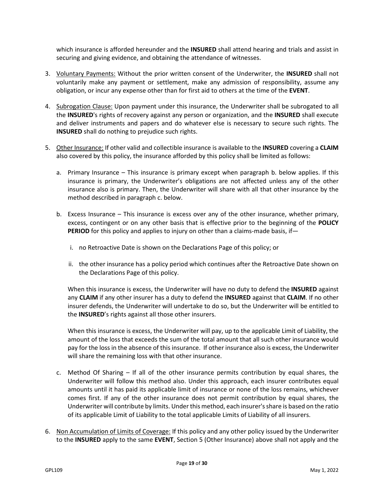which insurance is afforded hereunder and the **INSURED** shall attend hearing and trials and assist in securing and giving evidence, and obtaining the attendance of witnesses.

- 3. Voluntary Payments: Without the prior written consent of the Underwriter, the **INSURED** shall not voluntarily make any payment or settlement, make any admission of responsibility, assume any obligation, or incur any expense other than for first aid to others at the time of the **EVENT**.
- 4. Subrogation Clause: Upon payment under this insurance, the Underwriter shall be subrogated to all the **INSURED**'s rights of recovery against any person or organization, and the **INSURED** shall execute and deliver instruments and papers and do whatever else is necessary to secure such rights. The **INSURED** shall do nothing to prejudice such rights.
- 5. Other Insurance: If other valid and collectible insurance is available to the **INSURED** covering a **CLAIM**  also covered by this policy, the insurance afforded by this policy shall be limited as follows:
	- a. Primary Insurance This insurance is primary except when paragraph b. below applies. If this insurance is primary, the Underwriter's obligations are not affected unless any of the other insurance also is primary. Then, the Underwriter will share with all that other insurance by the method described in paragraph c. below.
	- b. Excess Insurance This insurance is excess over any of the other insurance, whether primary, excess, contingent or on any other basis that is effective prior to the beginning of the **POLICY PERIOD** for this policy and applies to injury on other than a claims-made basis, if
		- i. no Retroactive Date is shown on the Declarations Page of this policy; or
		- ii. the other insurance has a policy period which continues after the Retroactive Date shown on the Declarations Page of this policy.

When this insurance is excess, the Underwriter will have no duty to defend the **INSURED** against any **CLAIM** if any other insurer has a duty to defend the **INSURED** against that **CLAIM**. If no other insurer defends, the Underwriter will undertake to do so, but the Underwriter will be entitled to the **INSURED**'s rights against all those other insurers.

When this insurance is excess, the Underwriter will pay, up to the applicable Limit of Liability, the amount of the loss that exceeds the sum of the total amount that all such other insurance would pay for the loss in the absence of this insurance. If other insurance also is excess, the Underwriter will share the remaining loss with that other insurance.

- c. Method Of Sharing If all of the other insurance permits contribution by equal shares, the Underwriter will follow this method also. Under this approach, each insurer contributes equal amounts until it has paid its applicable limit of insurance or none of the loss remains, whichever comes first. If any of the other insurance does not permit contribution by equal shares, the Underwriter will contribute by limits. Under this method, each insurer's share is based on the ratio of its applicable Limit of Liability to the total applicable Limits of Liability of all insurers.
- 6. Non Accumulation of Limits of Coverage: If this policy and any other policy issued by the Underwriter to the **INSURED** apply to the same **EVENT**, Section 5 (Other Insurance) above shall not apply and the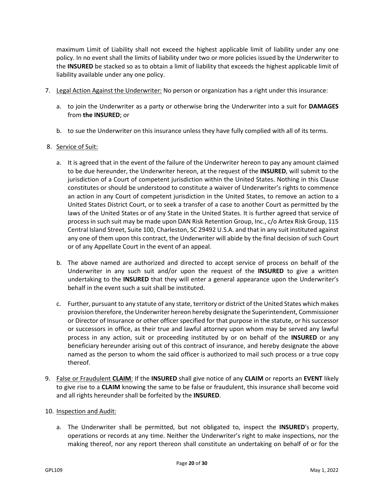maximum Limit of Liability shall not exceed the highest applicable limit of liability under any one policy. In no event shall the limits of liability under two or more policies issued by the Underwriter to the **INSURED** be stacked so as to obtain a limit of liability that exceeds the highest applicable limit of liability available under any one policy.

- 7. Legal Action Against the Underwriter: No person or organization has a right under this insurance:
	- a. to join the Underwriter as a party or otherwise bring the Underwriter into a suit for **DAMAGES** from **the INSURED**; or
	- b. to sue the Underwriter on this insurance unless they have fully complied with all of its terms.

# 8. Service of Suit:

- a. It is agreed that in the event of the failure of the Underwriter hereon to pay any amount claimed to be due hereunder, the Underwriter hereon, at the request of the **INSURED**, will submit to the jurisdiction of a Court of competent jurisdiction within the United States. Nothing in this Clause constitutes or should be understood to constitute a waiver of Underwriter's rights to commence an action in any Court of competent jurisdiction in the United States, to remove an action to a United States District Court, or to seek a transfer of a case to another Court as permitted by the laws of the United States or of any State in the United States. It is further agreed that service of process in such suit may be made upon DAN Risk Retention Group, Inc., c/o Artex Risk Group, 115 Central Island Street, Suite 100, Charleston, SC 29492 U.S.A. and that in any suit instituted against any one of them upon this contract, the Underwriter will abide by the final decision of such Court or of any Appellate Court in the event of an appeal.
- b. The above named are authorized and directed to accept service of process on behalf of the Underwriter in any such suit and/or upon the request of the **INSURED** to give a written undertaking to the **INSURED** that they will enter a general appearance upon the Underwriter's behalf in the event such a suit shall be instituted.
- c. Further, pursuant to any statute of any state, territory or district of the United States which makes provision therefore, the Underwriter hereon hereby designate the Superintendent, Commissioner or Director of Insurance or other officer specified for that purpose in the statute, or his successor or successors in office, as their true and lawful attorney upon whom may be served any lawful process in any action, suit or proceeding instituted by or on behalf of the **INSURED** or any beneficiary hereunder arising out of this contract of insurance, and hereby designate the above named as the person to whom the said officer is authorized to mail such process or a true copy thereof.
- 9. False or Fraudulent **CLAIM**: If the **INSURED** shall give notice of any **CLAIM** or reports an **EVENT** likely to give rise to a **CLAIM** knowing the same to be false or fraudulent, this insurance shall become void and all rights hereunder shall be forfeited by the **INSURED**.

#### 10. Inspection and Audit:

a. The Underwriter shall be permitted, but not obligated to, inspect the **INSURED**'s property, operations or records at any time. Neither the Underwriter's right to make inspections, nor the making thereof, nor any report thereon shall constitute an undertaking on behalf of or for the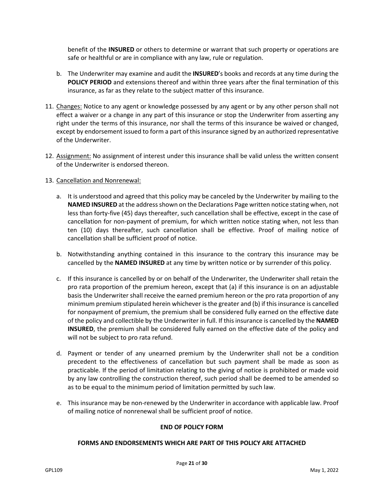benefit of the **INSURED** or others to determine or warrant that such property or operations are safe or healthful or are in compliance with any law, rule or regulation.

- b. The Underwriter may examine and audit the **INSURED**'s books and records at any time during the **POLICY PERIOD** and extensions thereof and within three years after the final termination of this insurance, as far as they relate to the subject matter of this insurance.
- 11. Changes: Notice to any agent or knowledge possessed by any agent or by any other person shall not effect a waiver or a change in any part of this insurance or stop the Underwriter from asserting any right under the terms of this insurance, nor shall the terms of this insurance be waived or changed, except by endorsement issued to form a part of this insurance signed by an authorized representative of the Underwriter.
- 12. Assignment: No assignment of interest under this insurance shall be valid unless the written consent of the Underwriter is endorsed thereon.

# 13. Cancellation and Nonrenewal:

- a. It is understood and agreed that this policy may be canceled by the Underwriter by mailing to the **NAMED INSURED** at the address shown on the Declarations Page written notice stating when, not less than forty-five (45) days thereafter, such cancellation shall be effective, except in the case of cancellation for non-payment of premium, for which written notice stating when, not less than ten (10) days thereafter, such cancellation shall be effective. Proof of mailing notice of cancellation shall be sufficient proof of notice.
- b. Notwithstanding anything contained in this insurance to the contrary this insurance may be cancelled by the **NAMED INSURED** at any time by written notice or by surrender of this policy.
- c. If this insurance is cancelled by or on behalf of the Underwriter, the Underwriter shall retain the pro rata proportion of the premium hereon, except that (a) if this insurance is on an adjustable basis the Underwriter shall receive the earned premium hereon or the pro rata proportion of any minimum premium stipulated herein whichever is the greater and (b) if this insurance is cancelled for nonpayment of premium, the premium shall be considered fully earned on the effective date of the policy and collectible by the Underwriter in full. If this insurance is cancelled by the **NAMED INSURED**, the premium shall be considered fully earned on the effective date of the policy and will not be subject to pro rata refund.
- d. Payment or tender of any unearned premium by the Underwriter shall not be a condition precedent to the effectiveness of cancellation but such payment shall be made as soon as practicable. If the period of limitation relating to the giving of notice is prohibited or made void by any law controlling the construction thereof, such period shall be deemed to be amended so as to be equal to the minimum period of limitation permitted by such law.
- e. This insurance may be non-renewed by the Underwriter in accordance with applicable law. Proof of mailing notice of nonrenewal shall be sufficient proof of notice.

#### **END OF POLICY FORM**

#### **FORMS AND ENDORSEMENTS WHICH ARE PART OF THIS POLICY ARE ATTACHED**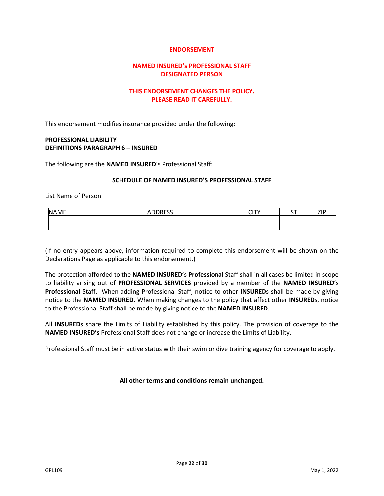#### **NAMED INSURED's PROFESSIONAL STAFF DESIGNATED PERSON**

# **THIS ENDORSEMENT CHANGES THE POLICY. PLEASE READ IT CAREFULLY.**

This endorsement modifies insurance provided under the following:

# **PROFESSIONAL LIABILITY DEFINITIONS PARAGRAPH 6 – INSURED**

The following are the **NAMED INSURED**'s Professional Staff:

#### **SCHEDULE OF NAMED INSURED'S PROFESSIONAL STAFF**

List Name of Person

| <b>NAME</b> | <b>ADDRESS</b> | $\sim$<br>ີ | $-$<br>ັ | 70 <sub>0</sub><br>-- |
|-------------|----------------|-------------|----------|-----------------------|
|             |                |             |          |                       |
|             |                |             |          |                       |

(If no entry appears above, information required to complete this endorsement will be shown on the Declarations Page as applicable to this endorsement.)

The protection afforded to the **NAMED INSURED**'s **Professional** Staff shall in all cases be limited in scope to liability arising out of **PROFESSIONAL SERVICES** provided by a member of the **NAMED INSURED**'s **Professional** Staff. When adding Professional Staff, notice to other **INSURED**s shall be made by giving notice to the **NAMED INSURED**. When making changes to the policy that affect other **INSURED**s, notice to the Professional Staff shall be made by giving notice to the **NAMED INSURED**.

All **INSURED**s share the Limits of Liability established by this policy. The provision of coverage to the **NAMED INSURED's** Professional Staff does not change or increase the Limits of Liability.

Professional Staff must be in active status with their swim or dive training agency for coverage to apply.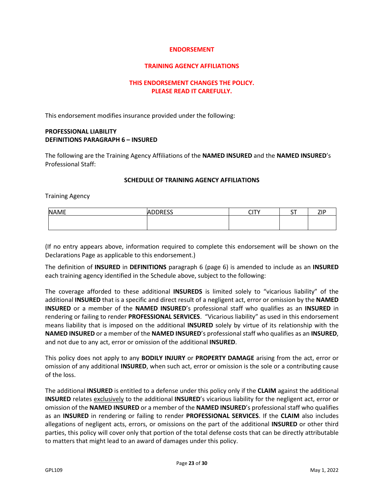#### **TRAINING AGENCY AFFILIATIONS**

#### **THIS ENDORSEMENT CHANGES THE POLICY. PLEASE READ IT CAREFULLY.**

This endorsement modifies insurance provided under the following:

#### **PROFESSIONAL LIABILITY DEFINITIONS PARAGRAPH 6 – INSURED**

The following are the Training Agency Affiliations of the **NAMED INSURED** and the **NAMED INSURED**'s Professional Staff:

#### **SCHEDULE OF TRAINING AGENCY AFFILIATIONS**

Training Agency

| <b>NAME</b> | <b>ADDRESS</b> | CITV<br>ີ | $-$ | 710 |
|-------------|----------------|-----------|-----|-----|
|             |                |           |     |     |
|             |                |           |     |     |

(If no entry appears above, information required to complete this endorsement will be shown on the Declarations Page as applicable to this endorsement.)

The definition of **INSURED** in **DEFINITIONS** paragraph 6 (page 6) is amended to include as an **INSURED** each training agency identified in the Schedule above, subject to the following:

The coverage afforded to these additional **INSUREDS** is limited solely to "vicarious liability" of the additional **INSURED** that is a specific and direct result of a negligent act, error or omission by the **NAMED INSURED** or a member of the **NAMED INSURED**'s professional staff who qualifies as an **INSURED** in rendering or failing to render **PROFESSIONAL SERVICES**. "Vicarious liability" as used in this endorsement means liability that is imposed on the additional **INSURED** solely by virtue of its relationship with the **NAMED INSURED** or a member of the **NAMED INSURED**'s professional staff who qualifies as an **INSURED**, and not due to any act, error or omission of the additional **INSURED**.

This policy does not apply to any **BODILY INJURY** or **PROPERTY DAMAGE** arising from the act, error or omission of any additional **INSURED**, when such act, error or omission is the sole or a contributing cause of the loss.

The additional **INSURED** is entitled to a defense under this policy only if the **CLAIM** against the additional **INSURED** relates exclusively to the additional **INSURED**'s vicarious liability for the negligent act, error or omission of the **NAMED INSURED** or a member of the **NAMED INSURED**'s professional staff who qualifies as an **INSURED** in rendering or failing to render **PROFESSIONAL SERVICES**. If the **CLAIM** also includes allegations of negligent acts, errors, or omissions on the part of the additional **INSURED** or other third parties, this policy will cover only that portion of the total defense costs that can be directly attributable to matters that might lead to an award of damages under this policy.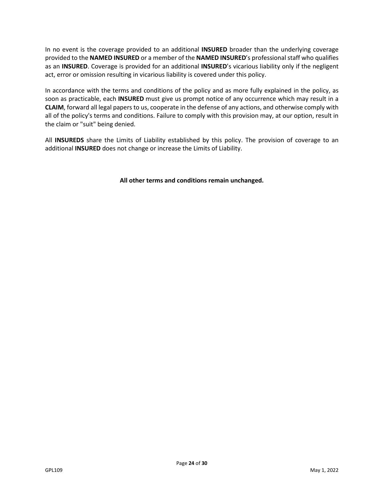In no event is the coverage provided to an additional **INSURED** broader than the underlying coverage provided to the **NAMED INSURED** or a member of the **NAMED INSURED**'s professional staff who qualifies as an **INSURED**. Coverage is provided for an additional **INSURED**'s vicarious liability only if the negligent act, error or omission resulting in vicarious liability is covered under this policy.

In accordance with the terms and conditions of the policy and as more fully explained in the policy, as soon as practicable, each **INSURED** must give us prompt notice of any occurrence which may result in a **CLAIM**, forward all legal papers to us, cooperate in the defense of any actions, and otherwise comply with all of the policy's terms and conditions. Failure to comply with this provision may, at our option, result in the claim or "suit" being denied.

All **INSUREDS** share the Limits of Liability established by this policy. The provision of coverage to an additional **INSURED** does not change or increase the Limits of Liability.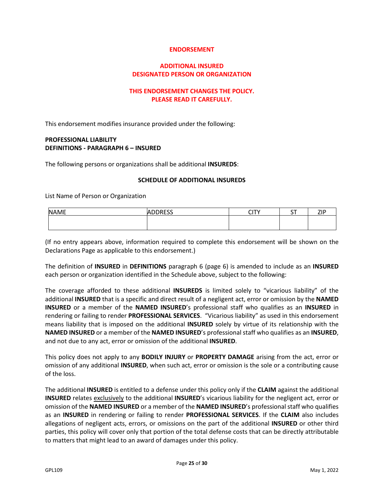#### **ADDITIONAL INSURED DESIGNATED PERSON OR ORGANIZATION**

# **THIS ENDORSEMENT CHANGES THE POLICY. PLEASE READ IT CAREFULLY.**

This endorsement modifies insurance provided under the following:

#### **PROFESSIONAL LIABILITY DEFINITIONS - PARAGRAPH 6 – INSURED**

The following persons or organizations shall be additional **INSUREDS**:

#### **SCHEDULE OF ADDITIONAL INSUREDS**

List Name of Person or Organization

| <b>NAME</b> | <b>ADDRESS</b> | $\sim$<br>ີ | $\sim$<br><u>.</u> | <b>710</b><br>-- |
|-------------|----------------|-------------|--------------------|------------------|
|             |                |             |                    |                  |
|             |                |             |                    |                  |

(If no entry appears above, information required to complete this endorsement will be shown on the Declarations Page as applicable to this endorsement.)

The definition of **INSURED** in **DEFINITIONS** paragraph 6 (page 6) is amended to include as an **INSURED** each person or organization identified in the Schedule above, subject to the following:

The coverage afforded to these additional **INSUREDS** is limited solely to "vicarious liability" of the additional **INSURED** that is a specific and direct result of a negligent act, error or omission by the **NAMED INSURED** or a member of the **NAMED INSURED**'s professional staff who qualifies as an **INSURED** in rendering or failing to render **PROFESSIONAL SERVICES**. "Vicarious liability" as used in this endorsement means liability that is imposed on the additional **INSURED** solely by virtue of its relationship with the **NAMED INSURED** or a member of the **NAMED INSURED**'s professional staff who qualifies as an **INSURED**, and not due to any act, error or omission of the additional **INSURED**.

This policy does not apply to any **BODILY INJURY** or **PROPERTY DAMAGE** arising from the act, error or omission of any additional **INSURED**, when such act, error or omission is the sole or a contributing cause of the loss.

The additional **INSURED** is entitled to a defense under this policy only if the **CLAIM** against the additional **INSURED** relates exclusively to the additional **INSURED**'s vicarious liability for the negligent act, error or omission of the **NAMED INSURED** or a member of the **NAMED INSURED**'s professional staff who qualifies as an **INSURED** in rendering or failing to render **PROFESSIONAL SERVICES**. If the **CLAIM** also includes allegations of negligent acts, errors, or omissions on the part of the additional **INSURED** or other third parties, this policy will cover only that portion of the total defense costs that can be directly attributable to matters that might lead to an award of damages under this policy.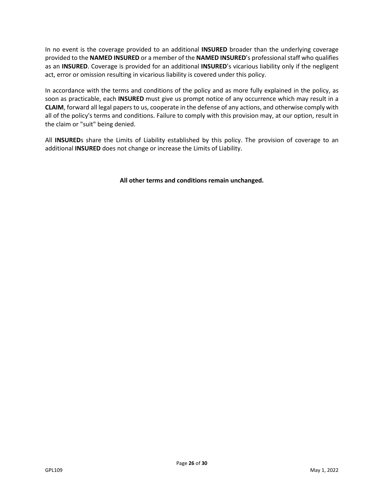In no event is the coverage provided to an additional **INSURED** broader than the underlying coverage provided to the **NAMED INSURED** or a member of the **NAMED INSURED**'s professional staff who qualifies as an **INSURED**. Coverage is provided for an additional **INSURED**'s vicarious liability only if the negligent act, error or omission resulting in vicarious liability is covered under this policy.

In accordance with the terms and conditions of the policy and as more fully explained in the policy, as soon as practicable, each **INSURED** must give us prompt notice of any occurrence which may result in a **CLAIM**, forward all legal papers to us, cooperate in the defense of any actions, and otherwise comply with all of the policy's terms and conditions. Failure to comply with this provision may, at our option, result in the claim or "suit" being denied.

All **INSURED**s share the Limits of Liability established by this policy. The provision of coverage to an additional **INSURED** does not change or increase the Limits of Liability.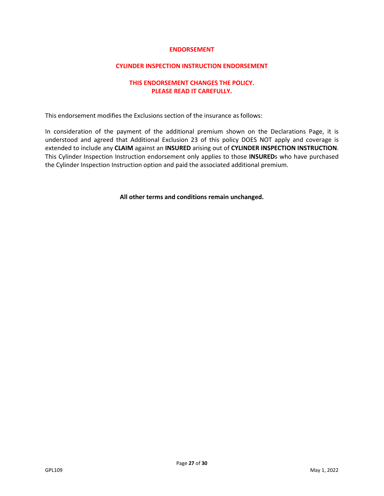#### **CYLINDER INSPECTION INSTRUCTION ENDORSEMENT**

# **THIS ENDORSEMENT CHANGES THE POLICY. PLEASE READ IT CAREFULLY.**

This endorsement modifies the Exclusions section of the insurance as follows:

In consideration of the payment of the additional premium shown on the Declarations Page, it is understood and agreed that Additional Exclusion 23 of this policy DOES NOT apply and coverage is extended to include any **CLAIM** against an **INSURED** arising out of **CYLINDER INSPECTION INSTRUCTION**. This Cylinder Inspection Instruction endorsement only applies to those **INSURED**s who have purchased the Cylinder Inspection Instruction option and paid the associated additional premium.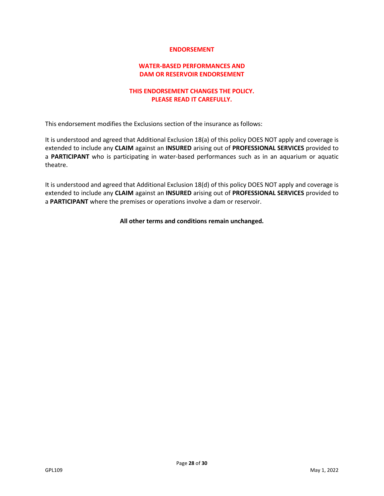#### **WATER-BASED PERFORMANCES AND DAM OR RESERVOIR ENDORSEMENT**

# **THIS ENDORSEMENT CHANGES THE POLICY. PLEASE READ IT CAREFULLY.**

This endorsement modifies the Exclusions section of the insurance as follows:

It is understood and agreed that Additional Exclusion 18(a) of this policy DOES NOT apply and coverage is extended to include any **CLAIM** against an **INSURED** arising out of **PROFESSIONAL SERVICES** provided to a **PARTICIPANT** who is participating in water-based performances such as in an aquarium or aquatic theatre.

It is understood and agreed that Additional Exclusion 18(d) of this policy DOES NOT apply and coverage is extended to include any **CLAIM** against an **INSURED** arising out of **PROFESSIONAL SERVICES** provided to a **PARTICIPANT** where the premises or operations involve a dam or reservoir.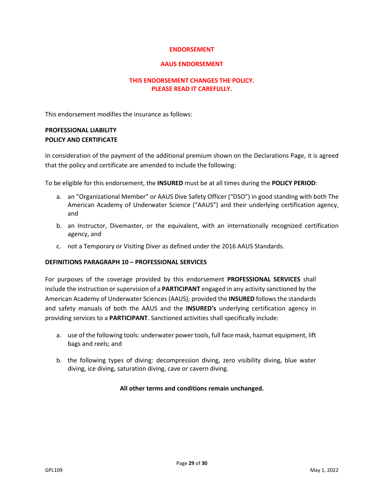#### **AAUS ENDORSEMENT**

# **THIS ENDORSEMENT CHANGES THE POLICY. PLEASE READ IT CAREFULLY.**

This endorsement modifies the insurance as follows:

# **PROFESSIONAL LIABILITY POLICY AND CERTIFICATE**

In consideration of the payment of the additional premium shown on the Declarations Page, it is agreed that the policy and certificate are amended to include the following:

To be eligible for this endorsement, the **INSURED** must be at all times during the **POLICY PERIOD**:

- a. an "Organizational Member" or AAUS Dive Safety Officer ("DSO") in good standing with both The American Academy of Underwater Science ("AAUS") and their underlying certification agency, and
- b. an Instructor, Divemaster, or the equivalent, with an internationally recognized certification agency, and
- c. not a Temporary or Visiting Diver as defined under the 2016 AAUS Standards.

#### **DEFINITIONS PARAGRAPH 10 – PROFESSIONAL SERVICES**

For purposes of the coverage provided by this endorsement **PROFESSIONAL SERVICES** shall include the instruction or supervision of a **PARTICIPANT** engaged in any activity sanctioned by the American Academy of Underwater Sciences (AAUS); provided the **INSURED** follows the standards and safety manuals of both the AAUS and the **INSURED's** underlying certification agency in providing services to a **PARTICIPANT**. Sanctioned activities shall specifically include:

- a. use of the following tools: underwater power tools, full face mask, hazmat equipment, lift bags and reels; and
- b. the following types of diving: decompression diving, zero visibility diving, blue water diving, ice diving, saturation diving, cave or cavern diving.